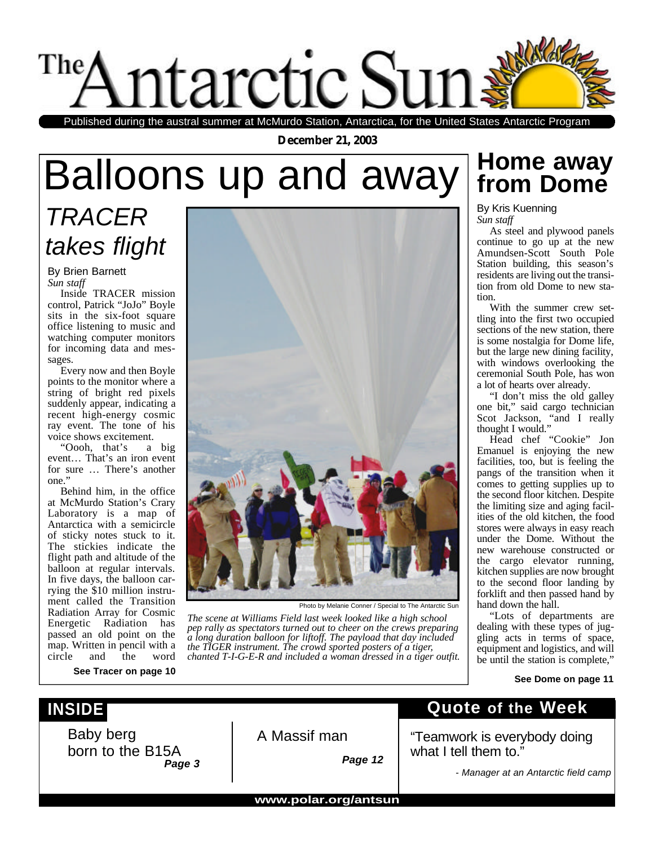

Published during the austral summer at McMurdo Station, Antarctica, for the United States Antarctic Program

**December 21, 2003**

# **Home away** Balloons up and away **from Dome**

## *TRACER takes flight*

By Brien Barnett *Sun staff*

Inside TRACER mission control, Patrick "JoJo" Boyle sits in the six-foot square office listening to music and watching computer monitors for incoming data and messages.

Every now and then Boyle points to the monitor where a string of bright red pixels suddenly appear, indicating a recent high-energy cosmic ray event. The tone of his voice shows excitement.

"Oooh, that's a big event… That's an iron event for sure … There's another one."

Behind him, in the office at McMurdo Station's Crary Laboratory is a map of Antarctica with a semicircle of sticky notes stuck to it. The stickies indicate the flight path and altitude of the balloon at regular intervals. In five days, the balloon carrying the \$10 million instrument called the Transition Radiation Array for Cosmic Energetic Radiation has passed an old point on the map. Written in pencil with a circle and the word

**See Tracer on page 10**



Photo by Melanie Conner / Special to The Antarctic Sun

*The scene at Williams Field last week looked like a high school pep rally as spectators turned out to cheer on the crews preparing a long duration balloon for liftoff. The payload that day included the TIGER instrument. The crowd sported posters of a tiger, chanted T-I-G-E-R and included a woman dressed in a tiger outfit.*

By Kris Kuenning *Sun staff*

As steel and plywood panels continue to go up at the new Amundsen-Scott South Pole Station building, this season's residents are living out the transition from old Dome to new station.

With the summer crew settling into the first two occupied sections of the new station, there is some nostalgia for Dome life, but the large new dining facility, with windows overlooking the ceremonial South Pole, has won a lot of hearts over already.

"I don't miss the old galley one bit," said cargo technician Scot Jackson, "and I really thought I would."

Head chef "Cookie" Jon Emanuel is enjoying the new facilities, too, but is feeling the pangs of the transition when it comes to getting supplies up to the second floor kitchen. Despite the limiting size and aging facilities of the old kitchen, the food stores were always in easy reach under the Dome. Without the new warehouse constructed or the cargo elevator running, kitchen supplies are now brought to the second floor landing by forklift and then passed hand by hand down the hall.

"Lots of departments are dealing with these types of juggling acts in terms of space, equipment and logistics, and will be until the station is complete,"

#### **See Dome on page 11**

### **INSIDE**

Baby berg born to the B15A *Page 3*

A Massif man

*Page 12*

### **Quote of the Week**

"Teamwork is everybody doing what I tell them to."

*- Manager at an Antarctic field camp*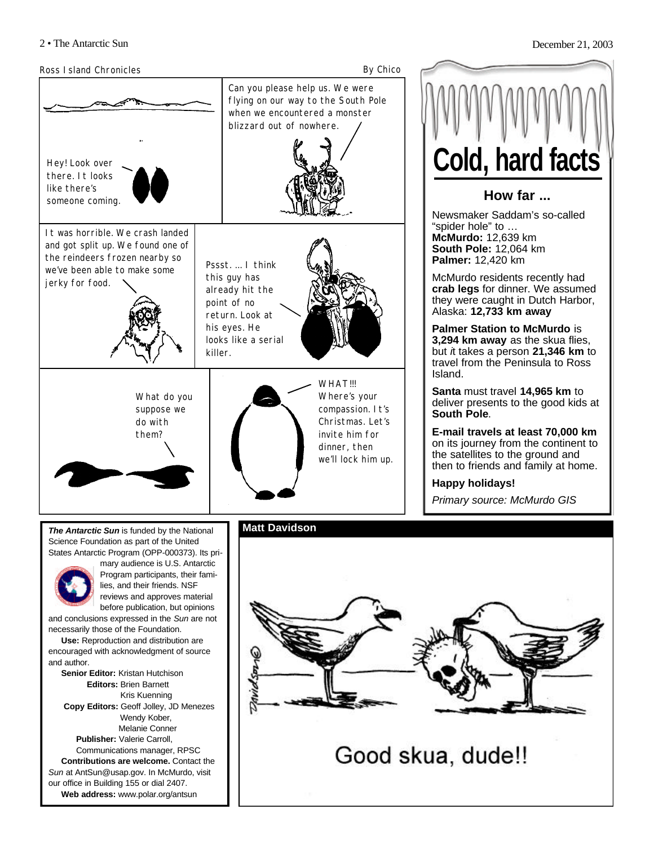

**Web address:** www.polar.org/antsun

**Cold, hard facts**

#### **How far ...**

Newsmaker Saddam's so-called "spider hole" to … **McMurdo:** 12,639 km **South Pole:** 12,064 km **Palmer:** 12,420 km

McMurdo residents recently had **crab legs** for dinner. We assumed they were caught in Dutch Harbor, Alaska: **12,733 km away**

**Palmer Station to McMurdo** is **3,294 km away** as the skua flies, but *i*t takes a person **21,346 km** to travel from the Peninsula to Ross Island.

**Santa** must travel **14,965 km** to deliver presents to the good kids at **South Pole**.

**E-mail travels at least 70,000 km** on its journey from the continent to the satellites to the ground and then to friends and family at home.

**Happy holidays!**

*Primary source: McMurdo GIS*



Good skua, dude!!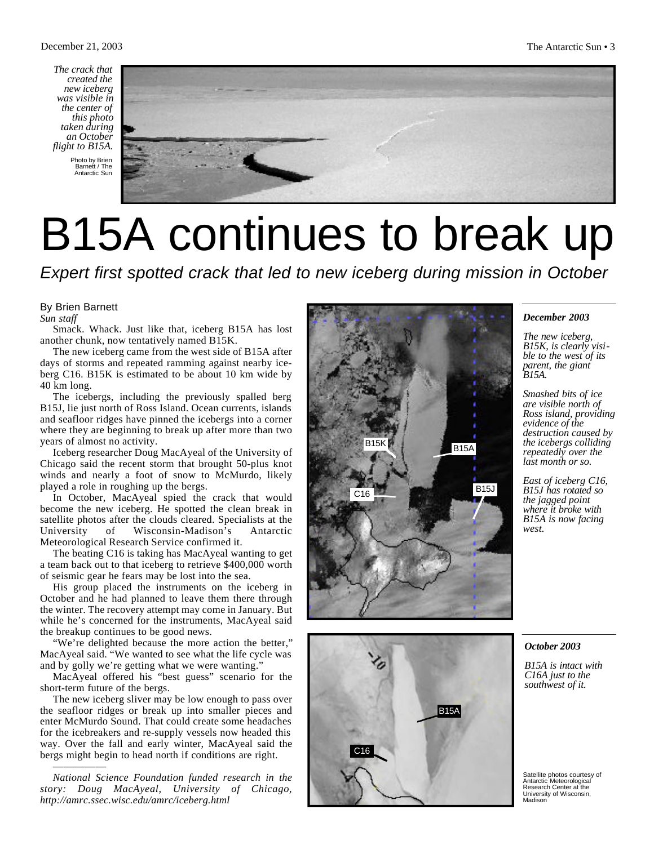*The crack that created the new iceberg was visible in the center of this photo taken during an October flight to B15A.*

> Photo by Brien Barnett / The Antarctic Sun



# B15A continues to break up

*Expert first spotted crack that led to new iceberg during mission in October*

#### By Brien Barnett

*Sun staff*

Smack. Whack. Just like that, iceberg B15A has lost another chunk, now tentatively named B15K.

The new iceberg came from the west side of B15A after days of storms and repeated ramming against nearby iceberg C16. B15K is estimated to be about 10 km wide by 40 km long.

The icebergs, including the previously spalled berg B15J, lie just north of Ross Island. Ocean currents, islands and seafloor ridges have pinned the icebergs into a corner where they are beginning to break up after more than two years of almost no activity.

Iceberg researcher Doug MacAyeal of the University of Chicago said the recent storm that brought 50-plus knot winds and nearly a foot of snow to McMurdo, likely played a role in roughing up the bergs.

In October, MacAyeal spied the crack that would become the new iceberg. He spotted the clean break in satellite photos after the clouds cleared. Specialists at the University of Wisconsin-Madison's Antarctic Meteorological Research Service confirmed it.

The beating C16 is taking has MacAyeal wanting to get a team back out to that iceberg to retrieve \$400,000 worth of seismic gear he fears may be lost into the sea.

His group placed the instruments on the iceberg in October and he had planned to leave them there through the winter. The recovery attempt may come in January. But while he's concerned for the instruments, MacAyeal said the breakup continues to be good news.

"We're delighted because the more action the better," MacAyeal said. "We wanted to see what the life cycle was and by golly we're getting what we were wanting."

MacAyeal offered his "best guess" scenario for the short-term future of the bergs.

The new iceberg sliver may be low enough to pass over the seafloor ridges or break up into smaller pieces and enter McMurdo Sound. That could create some headaches for the icebreakers and re-supply vessels now headed this way. Over the fall and early winter, MacAyeal said the bergs might begin to head north if conditions are right.

*National Science Foundation funded research in the story: Doug MacAyeal, University of Chicago, http://amrc.ssec.wisc.edu/amrc/iceberg.html*

—————





#### *December 2003*

*The new iceberg, B15K, is clearly visible to the west of its parent, the giant B15A.*

*Smashed bits of ice are visible north of Ross island, providing evidence of the destruction caused by the icebergs colliding repeatedly over the last month or so.*

*East of iceberg C16, B15J has rotated so the jagged point where it broke with B15A is now facing west.*

#### *October 2003*

*B15A is intact with C16A just to the southwest of it.*

Satellite photos courtesy of Antarctic Meteorological Research Center at the University of Wisconsin, **Madison**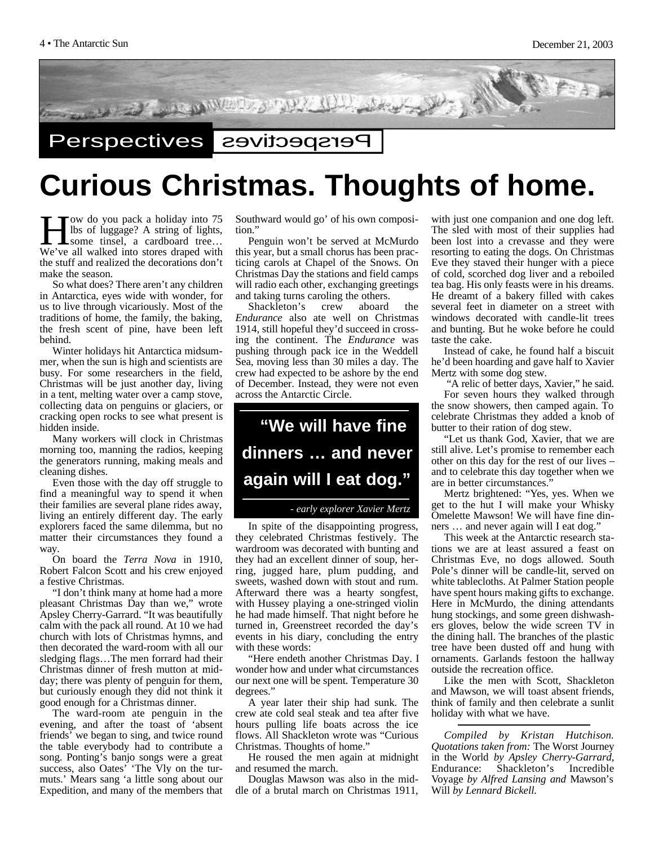

## **Curious Christmas. Thoughts of home.**

**Hermannis Compared Storm** and the store is a cardboard tree...<br>We've all walked into stores draped with ow do you pack a holiday into 75 lbs of luggage? A string of lights, some tinsel, a cardboard tree… the stuff and realized the decorations don't make the season.

So what does? There aren't any children in Antarctica, eyes wide with wonder, for us to live through vicariously. Most of the traditions of home, the family, the baking, the fresh scent of pine, have been left behind.

Winter holidays hit Antarctica midsummer, when the sun is high and scientists are busy. For some researchers in the field, Christmas will be just another day, living in a tent, melting water over a camp stove, collecting data on penguins or glaciers, or cracking open rocks to see what present is hidden inside.

Many workers will clock in Christmas morning too, manning the radios, keeping the generators running, making meals and cleaning dishes.

Even those with the day off struggle to find a meaningful way to spend it when their families are several plane rides away, living an entirely different day. The early explorers faced the same dilemma, but no matter their circumstances they found a way.

On board the *Terra Nova* in 1910, Robert Falcon Scott and his crew enjoyed a festive Christmas.

"I don't think many at home had a more pleasant Christmas Day than we," wrote Apsley Cherry-Garrard. "It was beautifully calm with the pack all round. At 10 we had church with lots of Christmas hymns, and then decorated the ward-room with all our sledging flags…The men forrard had their Christmas dinner of fresh mutton at midday; there was plenty of penguin for them, but curiously enough they did not think it good enough for a Christmas dinner.

The ward-room ate penguin in the evening, and after the toast of 'absent friends' we began to sing, and twice round the table everybody had to contribute a song. Ponting's banjo songs were a great success, also Oates' 'The Vly on the turmuts.' Mears sang 'a little song about our Expedition, and many of the members that

Southward would go' of his own composition."

Penguin won't be served at McMurdo this year, but a small chorus has been practicing carols at Chapel of the Snows. On Christmas Day the stations and field camps will radio each other, exchanging greetings and taking turns caroling the others.

Shackleton's crew aboard the *Endurance* also ate well on Christmas 1914, still hopeful they'd succeed in crossing the continent. The *Endurance* was pushing through pack ice in the Weddell Sea, moving less than 30 miles a day. The crew had expected to be ashore by the end of December. Instead, they were not even across the Antarctic Circle.

## **"We will have fine dinners … and never again will I eat dog."**

#### *- early explorer Xavier Mertz*

In spite of the disappointing progress, they celebrated Christmas festively. The wardroom was decorated with bunting and they had an excellent dinner of soup, herring, jugged hare, plum pudding, and sweets, washed down with stout and rum. Afterward there was a hearty songfest, with Hussey playing a one-stringed violin he had made himself. That night before he turned in, Greenstreet recorded the day's events in his diary, concluding the entry with these words:

"Here endeth another Christmas Day. I wonder how and under what circumstances our next one will be spent. Temperature 30 degrees."

A year later their ship had sunk. The crew ate cold seal steak and tea after five hours pulling life boats across the ice flows. All Shackleton wrote was "Curious Christmas. Thoughts of home."

He roused the men again at midnight and resumed the march.

Douglas Mawson was also in the middle of a brutal march on Christmas 1911,

with just one companion and one dog left. The sled with most of their supplies had been lost into a crevasse and they were resorting to eating the dogs. On Christmas Eve they staved their hunger with a piece of cold, scorched dog liver and a reboiled tea bag. His only feasts were in his dreams. He dreamt of a bakery filled with cakes several feet in diameter on a street with windows decorated with candle-lit trees and bunting. But he woke before he could taste the cake.

Instead of cake, he found half a biscuit he'd been hoarding and gave half to Xavier Mertz with some dog stew.

"A relic of better days, Xavier," he said.

For seven hours they walked through the snow showers, then camped again. To celebrate Christmas they added a knob of butter to their ration of dog stew.

"Let us thank God, Xavier, that we are still alive. Let's promise to remember each other on this day for the rest of our lives – and to celebrate this day together when we are in better circumstances."

Mertz brightened: "Yes, yes. When we get to the hut I will make your Whisky Omelette Mawson! We will have fine dinners … and never again will I eat dog."

This week at the Antarctic research stations we are at least assured a feast on Christmas Eve, no dogs allowed. South Pole's dinner will be candle-lit, served on white tablecloths. At Palmer Station people have spent hours making gifts to exchange. Here in McMurdo, the dining attendants hung stockings, and some green dishwashers gloves, below the wide screen TV in the dining hall. The branches of the plastic tree have been dusted off and hung with ornaments. Garlands festoon the hallway outside the recreation office.

Like the men with Scott, Shackleton and Mawson, we will toast absent friends, think of family and then celebrate a sunlit holiday with what we have.

*Compiled by Kristan Hutchison. Quotations taken from:* The Worst Journey in the World *by Apsley Cherry-Garrard,* Endurance: Shackleton's Incredible Voyage *by Alfred Lansing and* Mawson's Will *by Lennard Bickell.*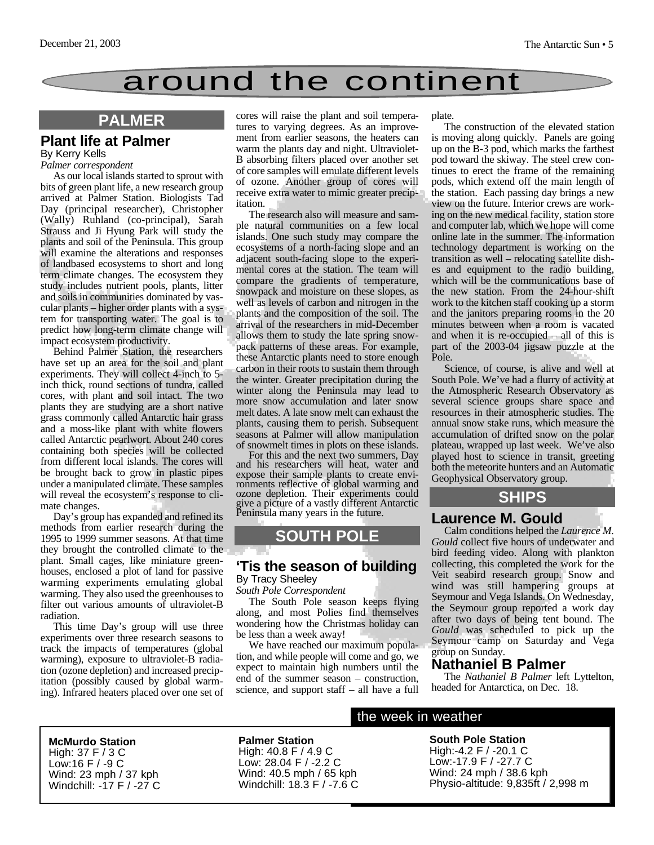

#### **PALMER**

#### **Plant life at Palmer**  By Kerry Kells

#### *Palmer correspondent*

As our local islands started to sprout with bits of green plant life, a new research group arrived at Palmer Station. Biologists Tad Day (principal researcher), Christopher (Wally) Ruhland (co-principal), Sarah Strauss and Ji Hyung Park will study the plants and soil of the Peninsula. This group will examine the alterations and responses of landbased ecosystems to short and long term climate changes. The ecosystem they study includes nutrient pools, plants, litter and soils in communities dominated by vascular plants – higher order plants with a system for transporting water. The goal is to predict how long-term climate change will impact ecosystem productivity.

Behind Palmer Station, the researchers have set up an area for the soil and plant experiments. They will collect 4-inch to 5 inch thick, round sections of tundra, called cores, with plant and soil intact. The two plants they are studying are a short native grass commonly called Antarctic hair grass and a moss-like plant with white flowers called Antarctic pearlwort. About 240 cores containing both species will be collected from different local islands. The cores will be brought back to grow in plastic pipes under a manipulated climate. These samples will reveal the ecosystem's response to climate changes.

Day's group has expanded and refined its methods from earlier research during the 1995 to 1999 summer seasons. At that time they brought the controlled climate to the plant. Small cages, like miniature greenhouses, enclosed a plot of land for passive warming experiments emulating global warming. They also used the greenhouses to filter out various amounts of ultraviolet-B radiation.

This time Day's group will use three experiments over three research seasons to track the impacts of temperatures (global warming), exposure to ultraviolet-B radiation (ozone depletion) and increased precipitation (possibly caused by global warming). Infrared heaters placed over one set of cores will raise the plant and soil temperatures to varying degrees. As an improvement from earlier seasons, the heaters can warm the plants day and night. Ultraviolet-B absorbing filters placed over another set of core samples will emulate different levels of ozone. Another group of cores will receive extra water to mimic greater precipitation.

The research also will measure and sample natural communities on a few local islands. One such study may compare the ecosystems of a north-facing slope and an adjacent south-facing slope to the experimental cores at the station. The team will compare the gradients of temperature, snowpack and moisture on these slopes, as well as levels of carbon and nitrogen in the plants and the composition of the soil. The arrival of the researchers in mid-December allows them to study the late spring snowpack patterns of these areas. For example, these Antarctic plants need to store enough carbon in their roots to sustain them through the winter. Greater precipitation during the winter along the Peninsula may lead to more snow accumulation and later snow melt dates. A late snow melt can exhaust the plants, causing them to perish. Subsequent seasons at Palmer will allow manipulation of snowmelt times in plots on these islands.

For this and the next two summers, Day and his researchers will heat, water and expose their sample plants to create environments reflective of global warming and ozone depletion. Their experiments could give a picture of a vastly different Antarctic Peninsula many years in the future.

### **SOUTH POLE**

#### **'Tis the season of building** By Tracy Sheeley

*South Pole Correspondent*

The South Pole season keeps flying along, and most Polies find themselves wondering how the Christmas holiday can be less than a week away!

We have reached our maximum population, and while people will come and go, we expect to maintain high numbers until the end of the summer season – construction, science, and support staff – all have a full plate.

The construction of the elevated station is moving along quickly. Panels are going up on the B-3 pod, which marks the farthest pod toward the skiway. The steel crew continues to erect the frame of the remaining pods, which extend off the main length of the station. Each passing day brings a new view on the future. Interior crews are working on the new medical facility, station store and computer lab, which we hope will come online late in the summer. The information technology department is working on the transition as well – relocating satellite dishes and equipment to the radio building, which will be the communications base of the new station. From the 24-hour-shift work to the kitchen staff cooking up a storm and the janitors preparing rooms in the 20 minutes between when a room is vacated and when it is re-occupied – all of this is part of the 2003-04 jigsaw puzzle at the Pole.

Science, of course, is alive and well at South Pole. We've had a flurry of activity at the Atmospheric Research Observatory as several science groups share space and resources in their atmospheric studies. The annual snow stake runs, which measure the accumulation of drifted snow on the polar plateau, wrapped up last week. We've also played host to science in transit, greeting both the meteorite hunters and an Automatic Geophysical Observatory group.

#### **SHIPS**

#### **Laurence M. Gould**

Calm conditions helped the *Laurence M. Gould* collect five hours of underwater and bird feeding video. Along with plankton collecting, this completed the work for the Veit seabird research group. Snow and wind was still hampering groups at Seymour and Vega Islands. On Wednesday, the Seymour group reported a work day after two days of being tent bound. The *Gould* was scheduled to pick up the Seymour camp on Saturday and Vega group on Sunday.

#### **Nathaniel B Palmer**

The *Nathaniel B Palmer* left Lyttelton, headed for Antarctica, on Dec. 18.

**McMurdo Station** High: 37 F / 3 C Low:16 F / -9 C

Wind: 23 mph / 37 kph Windchill: -17 F / -27 C

#### **Palmer Station** High: 40.8 F / 4.9 C Low: 28.04 F / -2.2 C Wind: 40.5 mph / 65 kph Windchill: 18.3 F / -7.6 C

#### the week in weather

#### **South Pole Station**

High:-4.2 F / -20.1 C Low:-17.9 F / -27.7 C Wind: 24 mph / 38.6 kph Physio-altitude: 9,835ft / 2,998 m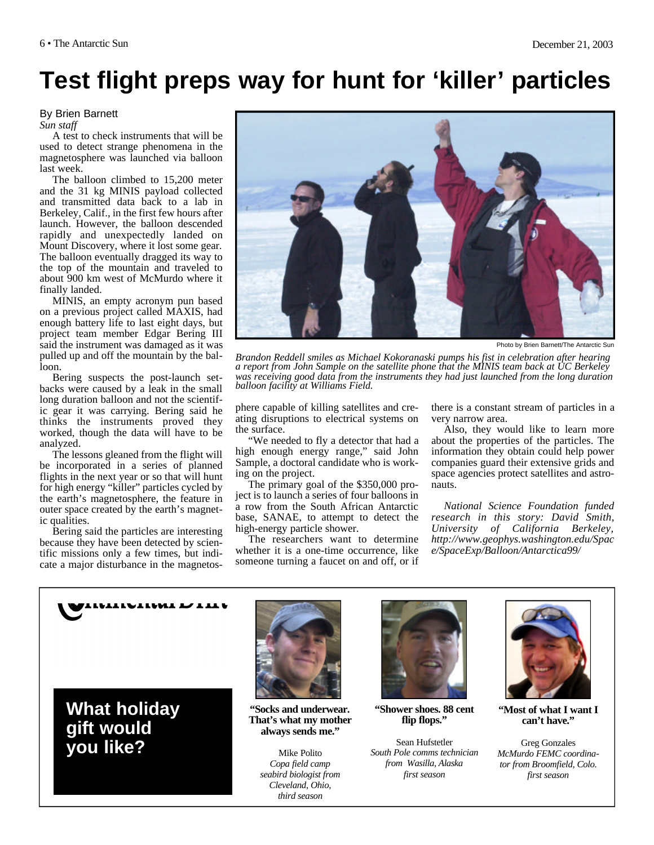## **Test flight preps way for hunt for 'killer' particles**

#### By Brien Barnett

*Sun staff*

A test to check instruments that will be used to detect strange phenomena in the magnetosphere was launched via balloon last week.

The balloon climbed to 15,200 meter and the 31 kg MINIS payload collected and transmitted data back to a lab in Berkeley, Calif., in the first few hours after launch. However, the balloon descended rapidly and unexpectedly landed on Mount Discovery, where it lost some gear. The balloon eventually dragged its way to the top of the mountain and traveled to about 900 km west of McMurdo where it finally landed.

MINIS, an empty acronym pun based on a previous project called MAXIS, had enough battery life to last eight days, but project team member Edgar Bering III said the instrument was damaged as it was pulled up and off the mountain by the balloon.

Bering suspects the post-launch setbacks were caused by a leak in the small long duration balloon and not the scientific gear it was carrying. Bering said he thinks the instruments proved they worked, though the data will have to be analyzed.

The lessons gleaned from the flight will be incorporated in a series of planned flights in the next year or so that will hunt for high energy "killer" particles cycled by the earth's magnetosphere, the feature in outer space created by the earth's magnetic qualities.

Bering said the particles are interesting because they have been detected by scientific missions only a few times, but indicate a major disturbance in the magnetos-



Photo by Brien Barnett/The Antarctic Sun

*Brandon Reddell smiles as Michael Kokoranaski pumps his fist in celebration after hearing a report from John Sample on the satellite phone that the MINIS team back at UC Berkeley was receiving good data from the instruments they had just launched from the long duration balloon facility at Williams Field.* 

phere capable of killing satellites and creating disruptions to electrical systems on the surface.

"We needed to fly a detector that had a high enough energy range," said John Sample, a doctoral candidate who is working on the project.

The primary goal of the \$350,000 project is to launch a series of four balloons in a row from the South African Antarctic base, SANAE, to attempt to detect the high-energy particle shower.

The researchers want to determine whether it is a one-time occurrence, like someone turning a faucet on and off, or if there is a constant stream of particles in a very narrow area.

Also, they would like to learn more about the properties of the particles. The information they obtain could help power companies guard their extensive grids and space agencies protect satellites and astronauts.

*National Science Foundation funded research in this story: David Smith, University of California Berkeley, http://www.geophys.washington.edu/Spac e/SpaceExp/Balloon/Antarctica99/* 



TIATIMITATTI



**"Socks and underwear. That's what my mother always sends me."** 

Mike Polito *Copa field camp seabird biologist from Cleveland, Ohio, third season*



**"Shower shoes. 88 cent flip flops."**

Sean Hufstetler *South Pole comms technician from Wasilla, Alaska first season* 



**"Most of what I want I can't have."**

Greg Gonzales *McMurdo FEMC coordinator from Broomfield, Colo. first season*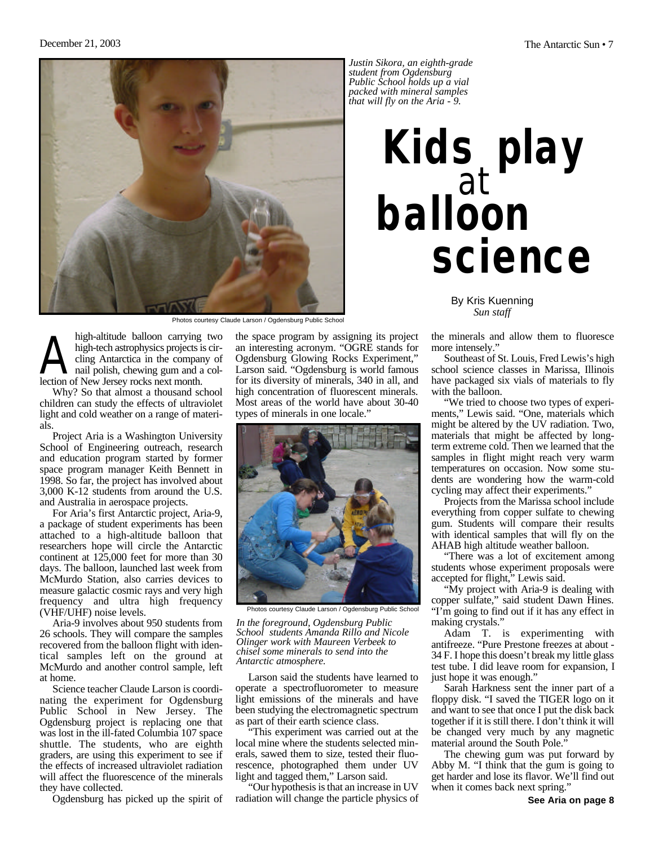

Photos courtesy Claude Larson / Ogdensburg Public School

high-altitude balloon carrying<br>high-tech astrophysics projects is<br>cling Antarctica in the compar<br>lection of New Jersey rocks next month. high-altitude balloon carrying two high-tech astrophysics projects is circling Antarctica in the company of nail polish, chewing gum and a col-

Why? So that almost a thousand school children can study the effects of ultraviolet light and cold weather on a range of materials.

Project Aria is a Washington University School of Engineering outreach, research and education program started by former space program manager Keith Bennett in 1998. So far, the project has involved about 3,000 K-12 students from around the U.S. and Australia in aerospace projects.

For Aria's first Antarctic project, Aria-9, a package of student experiments has been attached to a high-altitude balloon that researchers hope will circle the Antarctic continent at 125,000 feet for more than 30 days. The balloon, launched last week from McMurdo Station, also carries devices to measure galactic cosmic rays and very high frequency and ultra high frequency (VHF/UHF) noise levels.

Aria-9 involves about 950 students from 26 schools. They will compare the samples recovered from the balloon flight with identical samples left on the ground at McMurdo and another control sample, left at home.

Science teacher Claude Larson is coordinating the experiment for Ogdensburg Public School in New Jersey. The Ogdensburg project is replacing one that was lost in the ill-fated Columbia 107 space shuttle. The students, who are eighth graders, are using this experiment to see if the effects of increased ultraviolet radiation will affect the fluorescence of the minerals they have collected.

Ogdensburg has picked up the spirit of

the space program by assigning its project an interesting acronym. "OGRE stands for Ogdensburg Glowing Rocks Experiment," Larson said. "Ogdensburg is world famous for its diversity of minerals, 340 in all, and high concentration of fluorescent minerals. Most areas of the world have about 30-40 types of minerals in one locale."



Photos courtesy Claude Larson / Ogdensburg Public School

*In the foreground, Ogdensburg Public School students Amanda Rillo and Nicole Olinger work with Maureen Verbeek to chisel some minerals to send into the Antarctic atmosphere.*

Larson said the students have learned to operate a spectrofluorometer to measure light emissions of the minerals and have been studying the electromagnetic spectrum as part of their earth science class.

This experiment was carried out at the local mine where the students selected minerals, sawed them to size, tested their fluorescence, photographed them under UV light and tagged them," Larson said.

"Our hypothesis is that an increase in UV radiation will change the particle physics of

*Justin Sikora, an eighth-grade student from Ogdensburg Public School holds up a vial packed with mineral samples that will fly on the Aria - 9.*

## **Kids play balloon science** at

By Kris Kuenning *Sun staff*

the minerals and allow them to fluoresce more intensely."

Southeast of St. Louis, Fred Lewis's high school science classes in Marissa, Illinois have packaged six vials of materials to fly with the balloon.

"We tried to choose two types of experiments," Lewis said. "One, materials which might be altered by the UV radiation. Two, materials that might be affected by longterm extreme cold. Then we learned that the samples in flight might reach very warm temperatures on occasion. Now some students are wondering how the warm-cold cycling may affect their experiments."

Projects from the Marissa school include everything from copper sulfate to chewing gum. Students will compare their results with identical samples that will fly on the AHAB high altitude weather balloon.

"There was a lot of excitement among students whose experiment proposals were accepted for flight," Lewis said.

"My project with Aria-9 is dealing with copper sulfate," said student Dawn Hines. "I'm going to find out if it has any effect in making crystals."

Adam T. is experimenting with antifreeze. "Pure Prestone freezes at about - 34 F. I hope this doesn't break my little glass test tube. I did leave room for expansion, I just hope it was enough."

Sarah Harkness sent the inner part of a floppy disk. "I saved the TIGER logo on it and want to see that once I put the disk back together if it is still there. I don't think it will be changed very much by any magnetic material around the South Pole."

The chewing gum was put forward by Abby M. "I think that the gum is going to get harder and lose its flavor. We'll find out when it comes back next spring."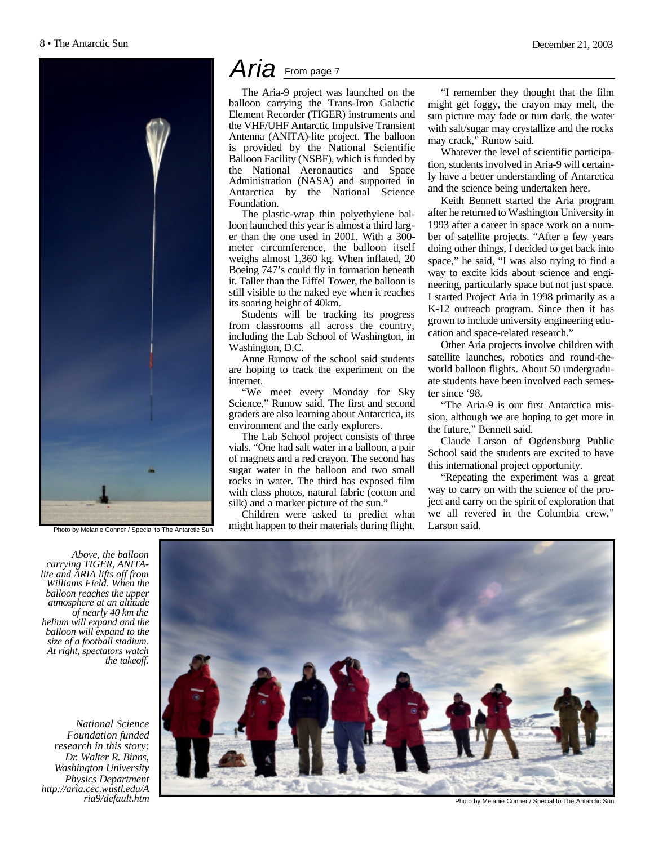

Photo by Melanie Conner / Special to The Antarctic Sun

## Aria From page 7

The Aria-9 project was launched on the balloon carrying the Trans-Iron Galactic Element Recorder (TIGER) instruments and the VHF/UHF Antarctic Impulsive Transient Antenna (ANITA)-lite project. The balloon is provided by the National Scientific Balloon Facility (NSBF), which is funded by the National Aeronautics and Space Administration (NASA) and supported in Antarctica by the National Science Foundation.

The plastic-wrap thin polyethylene balloon launched this year is almost a third larger than the one used in 2001. With a 300 meter circumference, the balloon itself weighs almost 1,360 kg. When inflated, 20 Boeing 747's could fly in formation beneath it. Taller than the Eiffel Tower, the balloon is still visible to the naked eye when it reaches its soaring height of 40km.

Students will be tracking its progress from classrooms all across the country, including the Lab School of Washington, in Washington, D.C.

Anne Runow of the school said students are hoping to track the experiment on the internet.

"We meet every Monday for Sky Science," Runow said. The first and second graders are also learning about Antarctica, its environment and the early explorers.

The Lab School project consists of three vials. "One had salt water in a balloon, a pair of magnets and a red crayon. The second has sugar water in the balloon and two small rocks in water. The third has exposed film with class photos, natural fabric (cotton and silk) and a marker picture of the sun."

Children were asked to predict what might happen to their materials during flight.

"I remember they thought that the film might get foggy, the crayon may melt, the sun picture may fade or turn dark, the water with salt/sugar may crystallize and the rocks may crack," Runow said.

Whatever the level of scientific participation, students involved in Aria-9 will certainly have a better understanding of Antarctica and the science being undertaken here.

Keith Bennett started the Aria program after he returned to Washington University in 1993 after a career in space work on a number of satellite projects. "After a few years doing other things, I decided to get back into space," he said, "I was also trying to find a way to excite kids about science and engineering, particularly space but not just space. I started Project Aria in 1998 primarily as a K-12 outreach program. Since then it has grown to include university engineering education and space-related research."

Other Aria projects involve children with satellite launches, robotics and round-theworld balloon flights. About 50 undergraduate students have been involved each semester since '98.

"The Aria-9 is our first Antarctica mission, although we are hoping to get more in the future," Bennett said.

Claude Larson of Ogdensburg Public School said the students are excited to have this international project opportunity.

"Repeating the experiment was a great way to carry on with the science of the project and carry on the spirit of exploration that we all revered in the Columbia crew," Larson said.

*Above, the balloon carrying TIGER, ANITAlite and ARIA lifts off from Williams Field. When the balloon reaches the upper atmosphere at an altitude of nearly 40 km the helium will expand and the balloon will expand to the size of a football stadium. At right, spectators watch the takeoff.*

*National Science Foundation funded research in this story: Dr. Walter R. Binns, Washington University Physics Department http://aria.cec.wustl.edu/A ria9/default.htm*



Photo by Melanie Conner / Special to The Antarctic Sun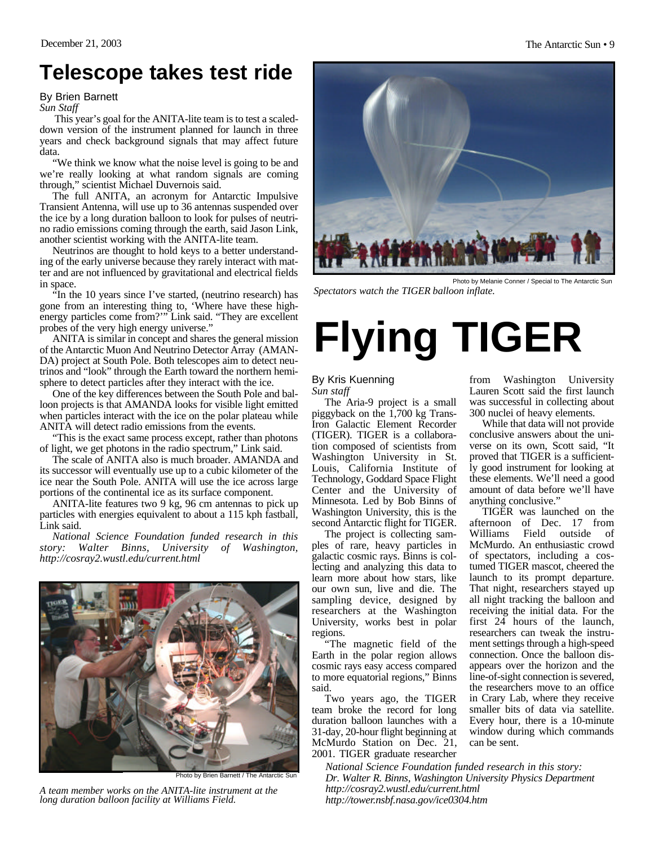## **Telescope takes test ride**

By Brien Barnett

*Sun Staff*

This year's goal for the ANITA-lite team is to test a scaleddown version of the instrument planned for launch in three years and check background signals that may affect future data.

"We think we know what the noise level is going to be and we're really looking at what random signals are coming through," scientist Michael Duvernois said.

The full ANITA, an acronym for Antarctic Impulsive Transient Antenna, will use up to 36 antennas suspended over the ice by a long duration balloon to look for pulses of neutrino radio emissions coming through the earth, said Jason Link, another scientist working with the ANITA-lite team.

Neutrinos are thought to hold keys to a better understanding of the early universe because they rarely interact with matter and are not influenced by gravitational and electrical fields in space.

"In the 10 years since I've started, (neutrino research) has gone from an interesting thing to, 'Where have these highenergy particles come from?'" Link said. "They are excellent probes of the very high energy universe."

ANITA is similar in concept and shares the general mission of the Antarctic Muon And Neutrino Detector Array (AMAN-DA) project at South Pole. Both telescopes aim to detect neutrinos and "look" through the Earth toward the northern hemisphere to detect particles after they interact with the ice.

One of the key differences between the South Pole and balloon projects is that AMANDA looks for visible light emitted when particles interact with the ice on the polar plateau while ANITA will detect radio emissions from the events.

"This is the exact same process except, rather than photons of light, we get photons in the radio spectrum," Link said.

The scale of ANITA also is much broader. AMANDA and its successor will eventually use up to a cubic kilometer of the ice near the South Pole. ANITA will use the ice across large portions of the continental ice as its surface component.

ANITA-lite features two 9 kg, 96 cm antennas to pick up particles with energies equivalent to about a 115 kph fastball, Link said.

*National Science Foundation funded research in this story: Walter Binns, University of Washington, http://cosray2.wustl.edu/current.html*



Photo by Brien Barnett / The Antarctic Sun

*A team member works on the ANITA-lite instrument at the long duration balloon facility at Williams Field.*



Photo by Melanie Conner / Special to The Antarctic Sur *Spectators watch the TIGER balloon inflate.*

## **Flying TIGER**

#### By Kris Kuenning *Sun staff*

The Aria-9 project is a small piggyback on the 1,700 kg Trans-Iron Galactic Element Recorder (TIGER). TIGER is a collaboration composed of scientists from Washington University in St. Louis, California Institute of Technology, Goddard Space Flight Center and the University of Minnesota. Led by Bob Binns of Washington University, this is the second Antarctic flight for TIGER.

The project is collecting samples of rare, heavy particles in galactic cosmic rays. Binns is collecting and analyzing this data to learn more about how stars, like our own sun, live and die. The sampling device, designed by researchers at the Washington University, works best in polar regions.

"The magnetic field of the Earth in the polar region allows cosmic rays easy access compared to more equatorial regions," Binns said.

Two years ago, the TIGER team broke the record for long duration balloon launches with a 31-day, 20-hour flight beginning at McMurdo Station on Dec. 21, 2001. TIGER graduate researcher

from Washington University Lauren Scott said the first launch was successful in collecting about 300 nuclei of heavy elements.

While that data will not provide conclusive answers about the universe on its own, Scott said, "It proved that TIGER is a sufficiently good instrument for looking at these elements. We'll need a good amount of data before we'll have anything conclusive."

TIGER was launched on the afternoon of Dec. 17 from Williams Field outside of McMurdo. An enthusiastic crowd of spectators, including a costumed TIGER mascot, cheered the launch to its prompt departure. That night, researchers stayed up all night tracking the balloon and receiving the initial data. For the first 24 hours of the launch, researchers can tweak the instrument settings through a high-speed connection. Once the balloon disappears over the horizon and the line-of-sight connection is severed, the researchers move to an office in Crary Lab, where they receive smaller bits of data via satellite. Every hour, there is a 10-minute window during which commands can be sent.

*National Science Foundation funded research in this story: Dr. Walter R. Binns, Washington University Physics Department http://cosray2.wustl.edu/current.html http://tower.nsbf.nasa.gov/ice0304.htm*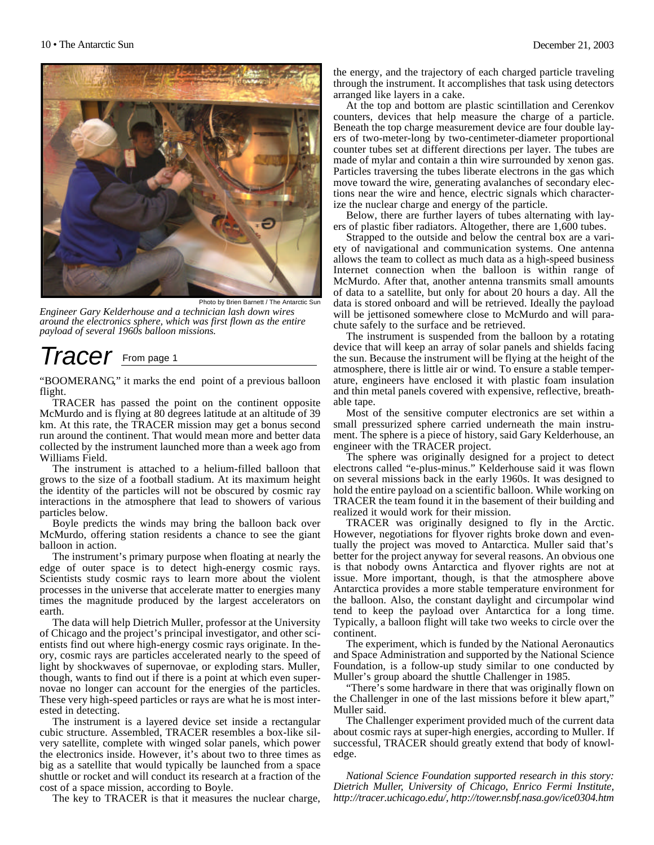

Photo by Brien Barnett / The Antarctic Sun *Engineer Gary Kelderhouse and a technician lash down wires around the electronics sphere, which was first flown as the entire payload of several 1960s balloon missions.*

## *Tracer* From page 1

"BOOMERANG," it marks the end point of a previous balloon flight.

TRACER has passed the point on the continent opposite McMurdo and is flying at 80 degrees latitude at an altitude of 39 km. At this rate, the TRACER mission may get a bonus second run around the continent. That would mean more and better data collected by the instrument launched more than a week ago from Williams Field.

The instrument is attached to a helium-filled balloon that grows to the size of a football stadium. At its maximum height the identity of the particles will not be obscured by cosmic ray interactions in the atmosphere that lead to showers of various particles below.

Boyle predicts the winds may bring the balloon back over McMurdo, offering station residents a chance to see the giant balloon in action.

The instrument's primary purpose when floating at nearly the edge of outer space is to detect high-energy cosmic rays. Scientists study cosmic rays to learn more about the violent processes in the universe that accelerate matter to energies many times the magnitude produced by the largest accelerators on earth.

The data will help Dietrich Muller, professor at the University of Chicago and the project's principal investigator, and other scientists find out where high-energy cosmic rays originate. In theory, cosmic rays are particles accelerated nearly to the speed of light by shockwaves of supernovae, or exploding stars. Muller, though, wants to find out if there is a point at which even supernovae no longer can account for the energies of the particles. These very high-speed particles or rays are what he is most interested in detecting.

The instrument is a layered device set inside a rectangular cubic structure. Assembled, TRACER resembles a box-like silvery satellite, complete with winged solar panels, which power the electronics inside. However, it's about two to three times as big as a satellite that would typically be launched from a space shuttle or rocket and will conduct its research at a fraction of the cost of a space mission, according to Boyle.

The key to TRACER is that it measures the nuclear charge,

the energy, and the trajectory of each charged particle traveling through the instrument. It accomplishes that task using detectors arranged like layers in a cake.

At the top and bottom are plastic scintillation and Cerenkov counters, devices that help measure the charge of a particle. Beneath the top charge measurement device are four double layers of two-meter-long by two-centimeter-diameter proportional counter tubes set at different directions per layer. The tubes are made of mylar and contain a thin wire surrounded by xenon gas. Particles traversing the tubes liberate electrons in the gas which move toward the wire, generating avalanches of secondary elections near the wire and hence, electric signals which characterize the nuclear charge and energy of the particle.

Below, there are further layers of tubes alternating with layers of plastic fiber radiators. Altogether, there are 1,600 tubes.

Strapped to the outside and below the central box are a variety of navigational and communication systems. One antenna allows the team to collect as much data as a high-speed business Internet connection when the balloon is within range of McMurdo. After that, another antenna transmits small amounts of data to a satellite, but only for about 20 hours a day. All the data is stored onboard and will be retrieved. Ideally the payload will be jettisoned somewhere close to McMurdo and will parachute safely to the surface and be retrieved.

The instrument is suspended from the balloon by a rotating device that will keep an array of solar panels and shields facing the sun. Because the instrument will be flying at the height of the atmosphere, there is little air or wind. To ensure a stable temperature, engineers have enclosed it with plastic foam insulation and thin metal panels covered with expensive, reflective, breathable tape.

Most of the sensitive computer electronics are set within a small pressurized sphere carried underneath the main instrument. The sphere is a piece of history, said Gary Kelderhouse, an engineer with the TRACER project.

The sphere was originally designed for a project to detect electrons called "e-plus-minus." Kelderhouse said it was flown on several missions back in the early 1960s. It was designed to hold the entire payload on a scientific balloon. While working on TRACER the team found it in the basement of their building and realized it would work for their mission.

TRACER was originally designed to fly in the Arctic. However, negotiations for flyover rights broke down and eventually the project was moved to Antarctica. Muller said that's better for the project anyway for several reasons. An obvious one is that nobody owns Antarctica and flyover rights are not at issue. More important, though, is that the atmosphere above Antarctica provides a more stable temperature environment for the balloon. Also, the constant daylight and circumpolar wind tend to keep the payload over Antarctica for a long time. Typically, a balloon flight will take two weeks to circle over the continent.

The experiment, which is funded by the National Aeronautics and Space Administration and supported by the National Science Foundation, is a follow-up study similar to one conducted by Muller's group aboard the shuttle Challenger in 1985.

"There's some hardware in there that was originally flown on the Challenger in one of the last missions before it blew apart," Muller said.

The Challenger experiment provided much of the current data about cosmic rays at super-high energies, according to Muller. If successful, TRACER should greatly extend that body of knowledge.

*National Science Foundation supported research in this story: Dietrich Muller, University of Chicago, Enrico Fermi Institute, http://tracer.uchicago.edu/, http://tower.nsbf.nasa.gov/ice0304.htm*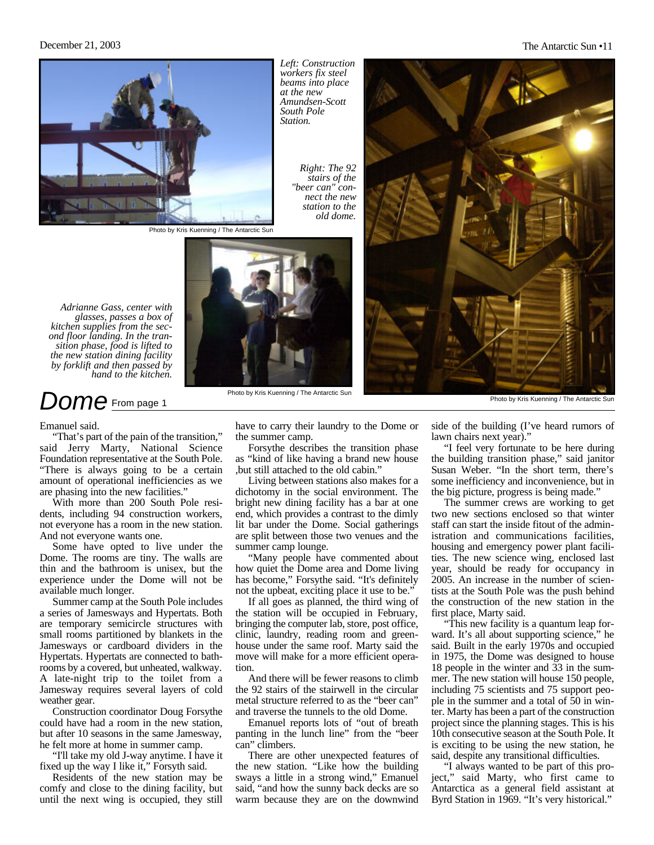

*Left: Construction workers fix steel beams into place at the new Amundsen-Scott South Pole Station.*

> *Right: The 92 stairs of the "beer can" connect the new station to the old dome.*

Photo by Kris Kuenning / The Antarctic Sun



### *Dome* From page 1

Emanuel said.

"That's part of the pain of the transition," said Jerry Marty, National Science Foundation representative at the South Pole. "There is always going to be a certain amount of operational inefficiencies as we are phasing into the new facilities."

With more than 200 South Pole residents, including 94 construction workers, not everyone has a room in the new station. And not everyone wants one.

Some have opted to live under the Dome. The rooms are tiny. The walls are thin and the bathroom is unisex, but the experience under the Dome will not be available much longer.

Summer camp at the South Pole includes a series of Jamesways and Hypertats. Both are temporary semicircle structures with small rooms partitioned by blankets in the Jamesways or cardboard dividers in the Hypertats. Hypertats are connected to bathrooms by a covered, but unheated, walkway. A late-night trip to the toilet from a Jamesway requires several layers of cold weather gear.

Construction coordinator Doug Forsythe could have had a room in the new station, but after 10 seasons in the same Jamesway, he felt more at home in summer camp.

"I'll take my old J-way anytime. I have it fixed up the way I like it," Forsyth said.

Residents of the new station may be comfy and close to the dining facility, but until the next wing is occupied, they still



have to carry their laundry to the Dome or the summer camp.

Forsythe describes the transition phase as "kind of like having a brand new house ,but still attached to the old cabin."

Living between stations also makes for a dichotomy in the social environment. The bright new dining facility has a bar at one end, which provides a contrast to the dimly lit bar under the Dome. Social gatherings are split between those two venues and the summer camp lounge.

"Many people have commented about how quiet the Dome area and Dome living has become," Forsythe said. "It's definitely not the upbeat, exciting place it use to be."

If all goes as planned, the third wing of the station will be occupied in February, bringing the computer lab, store, post office, clinic, laundry, reading room and greenhouse under the same roof. Marty said the move will make for a more efficient operation.

And there will be fewer reasons to climb the 92 stairs of the stairwell in the circular metal structure referred to as the "beer can" and traverse the tunnels to the old Dome.

Emanuel reports lots of "out of breath panting in the lunch line" from the "beer can" climbers.

There are other unexpected features of the new station. "Like how the building sways a little in a strong wind," Emanuel said, "and how the sunny back decks are so warm because they are on the downwind



Photo by Kris Kuenning / The Antarctic Sun

side of the building (I've heard rumors of lawn chairs next year)."

"I feel very fortunate to be here during the building transition phase," said janitor Susan Weber. "In the short term, there's some inefficiency and inconvenience, but in the big picture, progress is being made."

The summer crews are working to get two new sections enclosed so that winter staff can start the inside fitout of the administration and communications facilities, housing and emergency power plant facilities. The new science wing, enclosed last year, should be ready for occupancy in 2005. An increase in the number of scientists at the South Pole was the push behind the construction of the new station in the first place, Marty said.

"This new facility is a quantum leap forward. It's all about supporting science," he said. Built in the early 1970s and occupied in 1975, the Dome was designed to house 18 people in the winter and 33 in the summer. The new station will house 150 people, including 75 scientists and 75 support people in the summer and a total of 50 in winter. Marty has been a part of the construction project since the planning stages. This is his 10th consecutive season at the South Pole. It is exciting to be using the new station, he said, despite any transitional difficulties.

"I always wanted to be part of this project," said Marty, who first came to Antarctica as a general field assistant at Byrd Station in 1969. "It's very historical."